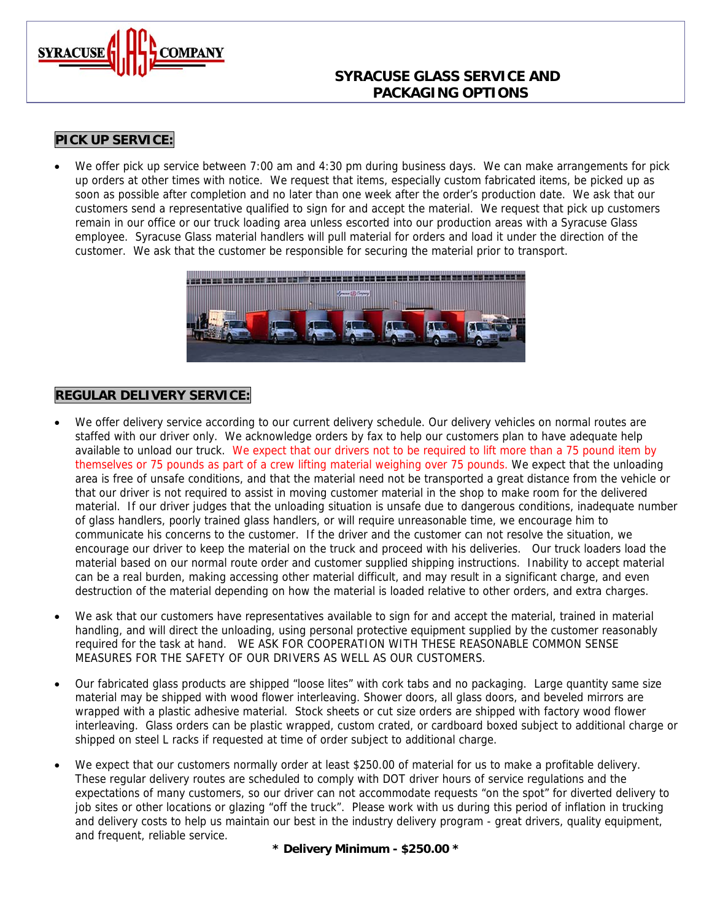

## **SYRACUSE GLASS SERVICE AND PACKAGING OPTIONS**

# **PICK UP SERVICE:**

• We offer pick up service between 7:00 am and 4:30 pm during business days. We can make arrangements for pick up orders at other times with notice. We request that items, especially custom fabricated items, be picked up as soon as possible after completion and no later than one week after the order's production date. We ask that our customers send a representative qualified to sign for and accept the material. We request that pick up customers remain in our office or our truck loading area unless escorted into our production areas with a Syracuse Glass employee. Syracuse Glass material handlers will pull material for orders and load it under the direction of the customer. We ask that the customer be responsible for securing the material prior to transport.



### **REGULAR DELIVERY SERVICE:**

- We offer delivery service according to our current delivery schedule. Our delivery vehicles on normal routes are staffed with our driver only. We acknowledge orders by fax to help our customers plan to have adequate help available to unload our truck. We expect that our drivers not to be required to lift more than a 75 pound item by themselves or 75 pounds as part of a crew lifting material weighing over 75 pounds. We expect that the unloading area is free of unsafe conditions, and that the material need not be transported a great distance from the vehicle or that our driver is not required to assist in moving customer material in the shop to make room for the delivered material. If our driver judges that the unloading situation is unsafe due to dangerous conditions, inadequate number of glass handlers, poorly trained glass handlers, or will require unreasonable time, we encourage him to communicate his concerns to the customer. If the driver and the customer can not resolve the situation, we encourage our driver to keep the material on the truck and proceed with his deliveries. Our truck loaders load the material based on our normal route order and customer supplied shipping instructions. Inability to accept material can be a real burden, making accessing other material difficult, and may result in a significant charge, and even destruction of the material depending on how the material is loaded relative to other orders, and extra charges.
- We ask that our customers have representatives available to sign for and accept the material, trained in material handling, and will direct the unloading, using personal protective equipment supplied by the customer reasonably required for the task at hand. WE ASK FOR COOPERATION WITH THESE REASONABLE COMMON SENSE MEASURES FOR THE SAFETY OF OUR DRIVERS AS WELL AS OUR CUSTOMERS.
- Our fabricated glass products are shipped "loose lites" with cork tabs and no packaging. Large quantity same size material may be shipped with wood flower interleaving. Shower doors, all glass doors, and beveled mirrors are wrapped with a plastic adhesive material. Stock sheets or cut size orders are shipped with factory wood flower interleaving. Glass orders can be plastic wrapped, custom crated, or cardboard boxed subject to additional charge or shipped on steel L racks if requested at time of order subject to additional charge.
- We expect that our customers normally order at least \$250.00 of material for us to make a profitable delivery. These regular delivery routes are scheduled to comply with DOT driver hours of service regulations and the expectations of many customers, so our driver can not accommodate requests "on the spot" for diverted delivery to job sites or other locations or glazing "off the truck". Please work with us during this period of inflation in trucking and delivery costs to help us maintain our best in the industry delivery program - great drivers, quality equipment, and frequent, reliable service.

**\* Delivery Minimum - \$250.00 \***